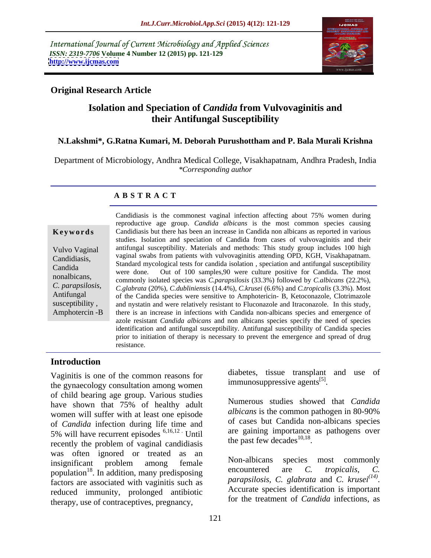International Journal of Current Microbiology and Applied Sciences *ISSN: 2319-7706* **Volume 4 Number 12 (2015) pp. 121-129 <http://www.ijcmas.com>**



# **Original Research Article**

# **Isolation and Speciation of** *Candida* **from Vulvovaginitis and their Antifungal Susceptibility**

## **N.Lakshmi\*, G.Ratna Kumari, M. Deborah Purushottham and P. Bala Murali Krishna**

Department of Microbiology, Andhra Medical College, Visakhapatnam, Andhra Pradesh, India *\*Corresponding author*

## **A B S T R A C T**

Amphotercin -B

Candidiasis is the commonest vaginal infection affecting about 75% women during reproductive age group. *Candida albicans* is the most common species causing Candidiasis but there has been an increase in Candida non albicans as reported in various **Ke ywo rds** studies. Isolation and speciation of Candida from cases of vulvovaginitis and their Vulvo Vaginal antifungal susceptibility. Materials and methods: This study group includes 100 high vaginal swabs from patients with vulvovaginitis attending OPD, KGH, Visakhapatnam. Candidiasis, Standard mycological tests for candida isolation , speciation and antifungal susceptibility were done. Out of 100 samples,90 were culture positive for Candida. The most Candida nonalbicans,<br>
commonly isolated species was *C.parapsilosis* (33.3%) followed by *C.albicans* (22.2%), *C. parapsilosis*, *C. glabrata* (20%), *C. dubliniensis* (14.4%), *C.krusei* (6.6%) and *C.tropicalis* (3.3%). Most of the Candida species were sensitive to Amphotericin- B. Ketoconazole. Clotrimazole of the Candida species were sensitive to Amphotericin- B, Ketoconazole, Clotrimazole susceptibility, and nystatin and were relatively resistant to Fluconazole and Itraconazole. In this study, there is an increase in infections with Candida non-albicans species and emergence of azole resistant *Candida albicans* and non albicans species specify the need of species identification and antifungal susceptibility. Antifungal susceptibility of Candida species prior to initiation of therapy is necessary to prevent the emergence and spread of drug resistance.

### **Introduction**

Vaginitis is one of the common reasons for the gynaecology consultation among women of child bearing age group. Various studies have shown that 75% of healthy adult women will suffer with at least one episode of *Candida* infection during life time and 5% will have recurrent episodes 6,16,12 . Until recently the problem of vaginal candidiasis was often ignored or treated as an<br>insignificant problem among female Mon-albicans species most commonly insignificant problem among female <sup>NON-albicans</sup> species most commonly population<sup>18</sup>. In addition, many predisposing encountered are C. *tropicalis*, C. factors are associated with vaginitis such as *parapsitosis*, C. glabrata and C. kruser  $\cdot$ .<br>reduced immunity prolonged optibiotic Accurate species identification is important reduced immunity, prolonged antibiotic therapy, use of contraceptives, pregnancy,

diabetes, tissue transplant and use of immunosuppressive agents<sup>[5]</sup>. .

Numerous studies showed that *Candida albicans* is the common pathogen in 80-90% of cases but Candida non-albicans species are gaining importance as pathogens over the past few decades $^{10,18}$ . the past few decades<sup>10,18</sup>.<br>Non-albicans species most commonly

encountered are *C. tropicalis, C. parapsilosis, C. glabrata* and *C. krusei(14) parapsilosis, C. glabrata* and *C. krusei<sup>(14)</sup>.*<br>Accurate species identification is important for the treatment of *Candida* infections, as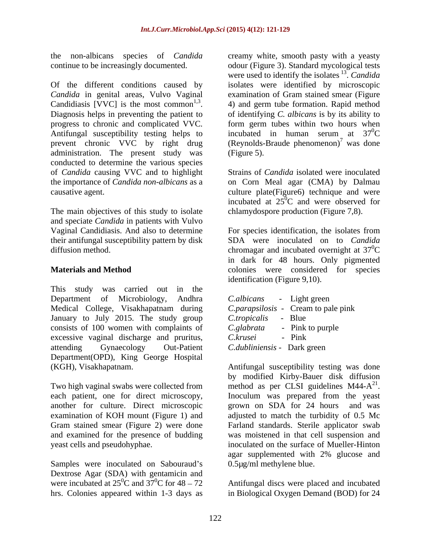Of the different conditions caused by isolates were identified by microscopic *Candida* in genital areas, Vulvo Vaginal examination of Gram stained smear (Figure Candidiasis [VVC] is the most common<sup>1,3</sup>. Candidiasis [VVC] is the most common<sup>1,3</sup>.  $\qquad$  4) and germ tube formation. Rapid method Diagnosis helps in preventing the patient to  $\qquad$  of identifying *C. albicans* is by its ability to progress to chronic and complicated VVC. form germ tubes within two hours when Antifungal susceptibility testing helps to incubated in human serum at  $37^{\circ}$ C prevent chronic VVC by right drug (Reynolds-Braude phenomenon)<sup>7</sup> was done administration. The present study was (Figure 5). conducted to determine the various species of *Candida* causing VVC and to highlight the importance of *Candida non-albicans* as a on Corn Meal agar (CMA) by Dalmau causative agent. culture plate(Figure6) technique and were

The main objectives of this study to isolate and speciate *Candida* in patients with Vulvo their antifungal susceptibility pattern by disk

This study was carried out in the Department of Microbiology, Andhra Medical College, Visakhapatnam during January to July 2015. The study group consists of 100 women with complaints of excessive vaginal discharge and pruritus, attending Gynaecology Out-Patient C.dubliniensis - Dark green Department(OPD), King George Hospital

each patient, one for direct microscopy, another for culture. Direct microscopic grown on SDA for 24 hours and was and examined for the presence of budding

Samples were inoculated on Sabouraud's Dextrose Agar (SDA) with gentamicin and were incubated at  $25^{\circ}$ C and  $37^{\circ}$ C for 48 – 72 hrs. Colonies appeared within 1-3 days as in Biological Oxygen Demand (BOD) for 24

the non-albicans species of *Candida* creamy white, smooth pasty with a yeasty continue to be increasingly documented. odour (Figure 3). Standard mycological tests <sup>1,3</sup>. 4) and germ tube formation. Rapid method were used to identify the isolates  $13$ . Candida . *Candida* of identifying *C. albicans* is by its ability to  $\rm{^{0}C}$ was done (Figure 5).

> Strains of *Candida* isolated were inoculated incubated at  $25^{\circ}$ C and were observed for  ${}^{0}C$  and were observed for chlamydospore production (Figure 7,8).

Vaginal Candidiasis. And also to determine For species identification, the isolates from diffusion method.  $\blacksquare$  chromagar and incubated overnight at  $37^{\circ}$ C **Materials and Method** colonies were considered for species SDA were inoculated on to *Candida*  ${}^{0}C$ in dark for 48 hours. Only pigmented identification (Figure 9,10).

| <i>C.albicans</i> - Light green |                                            |  |
|---------------------------------|--------------------------------------------|--|
|                                 | <i>C.parapsilosis</i> - Cream to pale pink |  |
| <i>C.tropicalis</i>             | - Blue                                     |  |
| C.glabrata                      | - Pink to purple                           |  |
| C.krusei                        | Pink                                       |  |
| C.dubliniensis - Dark green     |                                            |  |

(KGH), Visakhapatnam. Antifungal susceptibility testing was done Two high vaginal swabs were collected from method as per CLSI guidelines  $M44-A^{21}$ . examination of KOH mount (Figure 1) and adjusted to match the turbidity of 0.5 Mc Gram stained smear (Figure 2) were done Farland standards. Sterile applicator swab yeast cells and pseudohyphae. inoculated on the surface of Mueller-Hinton by modified Kirby-Bauer disk diffusion 21 . Inoculum was prepared from the yeast grown on SDA for 24 hours and was was moistened in that cell suspension and agar supplemented with 2% glucose and 0.5µg/ml methylene blue.

Antifungal discs were placed and incubated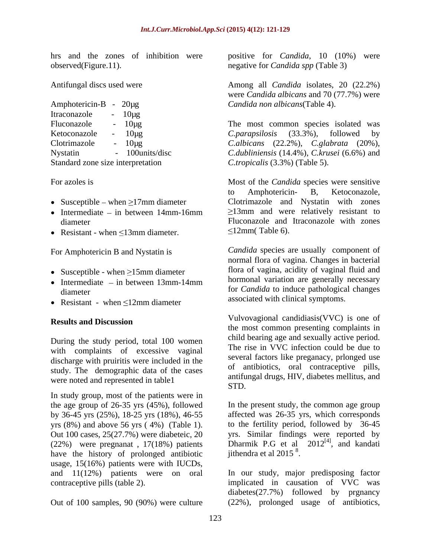observed(Figure.11). negative for *Candida spp* (Table 3)

| Amphotericin-B                    | $20\mu$ g      | Candida non albicans (Table 4).                                  |  |
|-----------------------------------|----------------|------------------------------------------------------------------|--|
| Itraconazole                      | $10\mu$ g      |                                                                  |  |
| Fluconazole                       | $10\mug$       | The most common species isolated was                             |  |
| Ketoconazole                      | $10\mu$ g      | $C. parapsilosis$ $(33.3\%),$<br>followed by                     |  |
| Clotrimazole                      | $10\mu$ g      | <i>C.albicans</i> $(22.2\%)$ , <i>C.glabrata</i> $(20\%)$ ,      |  |
| Nystatin                          | 100 units/disc | <i>C.dubliniensis</i> $(14.4\%)$ , <i>C.krusei</i> $(6.6\%)$ and |  |
| Standard zone size interpretation |                | C.tropicalis (3.3%) (Table 5).                                   |  |

- 
- Intermediate  $-$  in between 14mm-16mm
- 

For Amphotericin B and Nystatin is

- 
- Intermediate  $-$  in between 13mm-14mm
- Resistant when  $\leq 12$ mm diameter associated with chinear symptoms.

During the study period, total 100 women with complaints of excessive vaginal discharge with pruiritis were included in the study. The demographic data of the cases were noted and represented in table 1 and  $\frac{1}{STD}$ .

In study group, most of the patients were in by 36-45 yrs (25%), 18-25 yrs (18%), 46-55 have the history of prolonged antibiotic jithendra et al 2015<sup>8</sup>. usage, 15(16%) patients were with IUCDs,

Out of 100 samples, 90 (90%) were culture (22%), prolonged usage of antibiotics,

hrs and the zones of inhibition were positive for *Candida*, 10 (10%) were

Antifungal discs used were Among all *Candida* isolates, 20 (22.2%) Amphotericin-B - 20µg *Candida non albicans*(Table 4). were *Candida albicans* and 70 (77.7%) were

Fluconazole -  $10\mu$ g The most common species isolated was Ketoconazole - 10µg C.parapsilosis (33.3%), followed by Clotrimazole - 10µg *C.albicans* (22.2%), *C.glabrata* (20%), Nystatin - 100units/disc *C.dubliniensis* (14.4%), *C.krusei* (6.6%) and Standard zone size interpretation *C.tropicalis* (3.3%) (Table 5). *C.parapsilosis* (33.3%), followed by

For azoles is Most of the *Candida* species were sensitive Susceptible – when ≥17mm diameter Clotrimazole and Nystatin with zones diameter Fluconazole and Itraconazole with zones Resistant - when  $\leq 13$ mm diameter.  $\leq 12$ mm(Table 6). to Amphotericin- B, Ketoconazole,  $\geq$ 13mm and were relatively resistant to 12mm( Table 6).

Susceptible - when  $\geq 15$ mm diameter structure is the structure of vaginal set of vaginal fluid and diameter for *Candida* to induce pathological changes *Candida* species are usually component of normal flora of vagina. Changes in bacterial flora of vagina, acidity of vaginal fluid and hormonal variation are generally necessary associated with clinical symptoms.

**Results and Discussion** Vulvovagional candidiasis(VVC) is one of the most common presenting complaints in child bearing age and sexually active period. The rise in VVC infection could be due to several factors like preganacy, prlonged use of antibiotics, oral contraceptive pills, antifungal drugs, HIV, diabetes mellitus, and STD.

the age group of 26-35 yrs (45%), followed In the present study, the common age group yrs (8%) and above 56 yrs ( 4%) (Table 1). to the fertility period, followed by 36-45 Out 100 cases, 25(27.7%) were diabeteic, 20 yrs. Similar findings were reported by  $(22%)$  were pregnanat, 17(18%) patients Dharmik P.G et al  $2012^{[4]}$ , and kandati affected was 26-35 yrs, which corresponds , and kandati jithendra et al  $2015$ <sup>8</sup>. .

and 11(12%) patients were on oral In our study, major predisposing factor contraceptive pills (table 2). implicated in causation of VVC was diabetes(27.7%) followed by prgnancy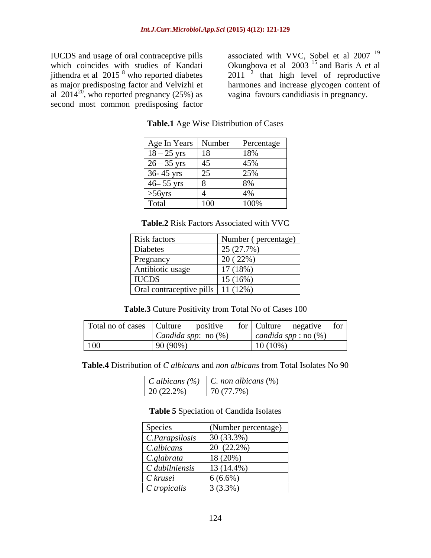ithendra et al  $2015^8$  who reported diabetes second most common predisposing factor

IUCDS and usage of oral contraceptive pills associated with VVC, Sobel et al 2007<sup>19</sup> which coincides with studies of Kandati Champbova et al 2003<sup>15</sup> and Baris A et al  $8 \text{ who reported diabetes}$  2011<sup>2</sup> that high level of reproductive as major predisposing factor and Velvizhi et al  $2014^{20}$ , who reported pregnancy (25%) as vagina favours candidiasis in pregnancy. associated with VVC, Sobel et al  $2007<sup>19</sup>$ 19 Okungbova et al  $2003$  <sup>15</sup> and Baris A et al Okungbova et al  $2003$  <sup>15</sup> and Baris A et al  $2011$   $\frac{2}{1}$  that high level of reproductive harmones and increase glycogen content of vagina favours candidiasis in pregnancy.

| Age In Years Number Percentage |                 |
|--------------------------------|-----------------|
| $18-25$ yrs<br>$\overline{18}$ | 18%             |
| $26 - 35$ yrs<br>45            | 45%             |
| 36-45 yrs<br>$\vert 25 \vert$  | 25%             |
| $46 - 55$ yrs                  | 8%              |
| $>56$ yrs                      | $\frac{4\%}{2}$ |
| $\vert$ 100<br>Total           | 100%            |

**Table.1** Age Wise Distribution of Cases

**Table.2** Risk Factors Associated with VVC

| Risk factors                          | Number (percentage) |
|---------------------------------------|---------------------|
| Diabetes                              | 25 (27.7%)          |
| Pregnancy                             | 20(22%)             |
| Antibiotic usage                      | 17 (18%)            |
| <b>IUCDS</b>                          | $15(16\%)$          |
| Oral contraceptive pills   11 $(12%)$ |                     |

**Table.3** Cuture Positivity from Total No of Cases 100

| Total no of cases | <b>Culture</b><br>positive               | negative<br>Culture<br>tor  <br>tor |
|-------------------|------------------------------------------|-------------------------------------|
|                   | (0)<br>no(%<br>andida spp:<br><u>can</u> | candida spp : $no(%)$               |
| 100               | $90(90\%)$                               | $10(10\%)$                          |

**Table.4** Distribution of *C albicans* and *non albicans* from Total Isolates No 90

**Table 5** Speciation of Candida Isolates

| Species                    | (Number percentage) |
|----------------------------|---------------------|
| $\mathcal{C}.Parapsilosis$ | 30 (33.3%)          |
| C.albicans                 | $20(22.2\%)$        |
| $\mathcal{C}.glabrata$     | 18 (20%)            |
| $C$ dubilniensis           | 13 (14.4%)          |
| $C$ krusei                 | $6(6.6\%)$          |
| $C$ tropicalis             | 3(3.3%)             |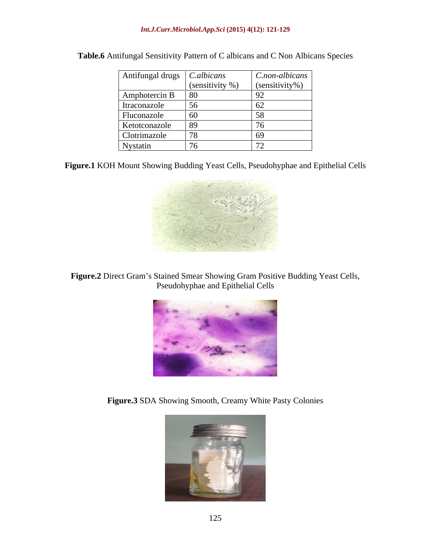| Antifungal drugs   C.albicans |                    | $C$ .non-albicans        |
|-------------------------------|--------------------|--------------------------|
|                               | (sensitivity $%$ ) | (sensitivity%)           |
| Amphotercin B                 | -80                |                          |
| Itraconazole                  | 56                 |                          |
| Fluconazole                   | 60                 |                          |
| Ketotconazole                 | 89                 |                          |
| Clotrimazole                  |                    |                          |
| Nystatin                      |                    | $\overline{\phantom{0}}$ |

**Table.6** Antifungal Sensitivity Pattern of C albicans and C Non Albicans Species

**Figure.1** KOH Mount Showing Budding Yeast Cells, Pseudohyphae and Epithelial Cells



Figure.2 Direct Gram's Stained Smear Showing Gram Positive Budding Yeast Cells, Pseudohyphae and Epithelial Cells



**Figure.3** SDA Showing Smooth, Creamy White Pasty Colonies

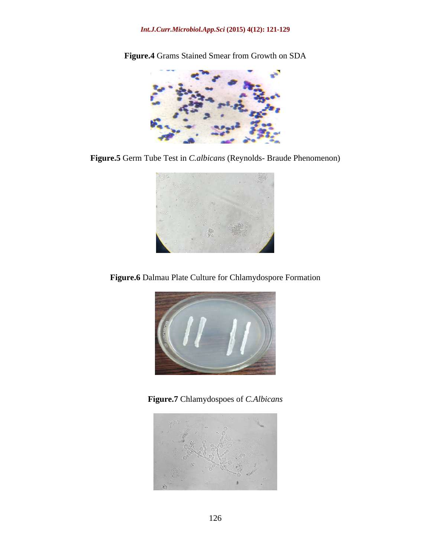### *Int.J.Curr.Microbiol.App.Sci* **(2015) 4(12): 121-129**



**Figure.4** Grams Stained Smear from Growth on SDA

**Figure.5** Germ Tube Test in *C.albicans* (Reynolds- Braude Phenomenon)



**Figure.6** Dalmau Plate Culture for Chlamydospore Formation



**Figure.7** Chlamydospoes of *C.Albicans*

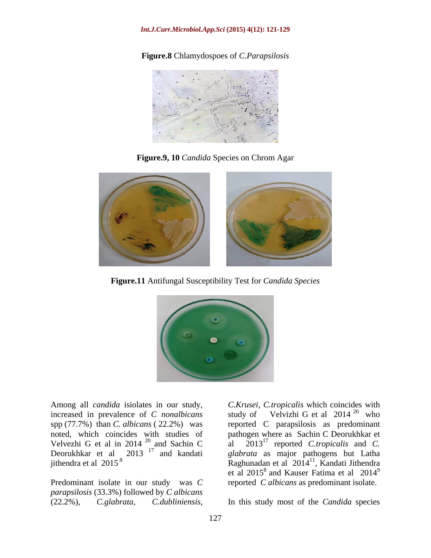### *Int.J.Curr.Microbiol.App.Sci* **(2015) 4(12): 121-129**

**Figure.8** Chlamydospoes of *C.Parapsilosis*



**Figure.9, 10** *Candida* Species on Chrom Agar



**Figure.11** Antifungal Susceptibility Test for *Candida Species*



increased in prevalence of *C nonalbicans* spp (77.7%) than *C. albicans* ( 22.2%) was reported C parapsilosis as predominant noted, which coincides with studies of pathogen where as Sachin C Deorukhkar et Velvezhi G et al in 2014<sup>20</sup> and Sachin C al 2013<sup>1</sup> reported Ctropicalis and C. Deorukhkar et al 2013<sup>''</sup> and kandati *glabrata* as major pathogens but Latha

Predominant isolate in our study was *C parapsilosis* (33.3%) followed by *C albicans*

Among all *candida* isiolates in our study, C. Krusei, C. tropicalis which coincides with increased in prevalence of C *nonalbicans* study of Velvizhi G et al 2014<sup>20</sup> who 20 and Sachin C al 2013 17 reported *C.tropicalis* and *C.*  17 and kandati *glabrata* as major pathogens but Latha jithendra et al 2015<sup>8</sup> Raghunadan et al 2014 11 Among all *candida* isolates in our study,<br>
increased in prevalence of *C* nonalbicans<br>
study of Velvizhi G et al 2014<sup>20</sup> who<br>
spp (77.7%) than *C*. albicans (22.2%) was<br>
reported *C* parapsilosis as predominant<br>
roted, w study of Velvizhi G et al  $2014^{20}$  who  $20 \thinspace$  who who who when the set of  $\mathbb{R}^n$ , Kandati Jithendra et al  $2015^8$  and Kauser Fatima et al  $2014^9$ 9 reported *C albicans* as predominant isolate.

In this study most of the *Candida* species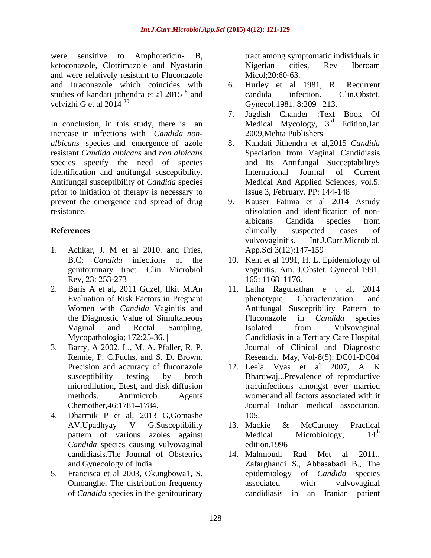were sensitive to Amphotericin- B, tract among symptomatic individuals in ketoconazole, Clotrimazole and Nyastatin and were relatively resistant to Fluconazole and Itraconazole which coincides with studies of kandati jithendra et al  $2015^8$  and candida infection. Clin. Obstet.<br>velvizhi G et al  $2014^{20}$  Gynecol. 1981, 8:209–213.

In conclusion, in this study, there is an increase in infections with *Candida non albicans* species and emergence of azole resistant *Candida albicans* and *non albicans* species specify the need of species identification and antifungal susceptibility. International Journal of Current<br>Antifungal susceptibility of *Candida* species Medical And Applied Sciences, vol.5. prior to initiation of therapy is necessary to prevent the emergence and spread of drug

- 1. Achkar, J. M et al 2010. and Fries, genitourinary tract. Clin Microbiol
- 2. Baris A et al, 2011 Guzel, Ilkit M.An 11. Latha Ragunathan e t al, 2014
- 3. Barry, A 2002. L., M. A. Pfaller, R. P.
- 4. Dharmik P et al, 2013 G,Gomashe *Candida* species causing vulvovaginal edition.1996<br>candidiasis.The Journal of Obstetrics 14. Mahmoudi
- 5. Francisca et al 2003, Okungbowa1, S.

Nigerian cities, Rev Iberoam Micol:20:60-63.

- $\frac{8}{3}$  and  $\frac{8}{3}$  candida infection  $\frac{1}{3}$  Clin Obstat and candida infection. Clin.Obstet. velvizhi G et al 2014<sup>20</sup> Gynecol. 1981, 8:209–213. Hurley et al 1981, R.. Recurrent candida infection. Clin.Obstet. Gynecol.1981, 8:209-213.
	- 7. Jagdish Chander :Text Book Of Medical Mycology, 3<sup>rd</sup> Edition, Jan <sup>rd</sup> Edition, Jan 2009,Mehta Publishers
	- 8. Kandati Jithendra et al,2015 *Candida* Speciation from Vaginal Candidiasis and Its Antifungal SucceptabilityS International Journal of Current Medical And Applied Sciences, vol.5. Issue 3, February. PP: 144-148
- resistance. ofisolation and identification of non- **References** elimically suspected cases of 9. Kauser Fatima et al 2014 Astudy albicans Candida species from clinically suspected cases of vulvovaginitis. Int.J.Curr.Microbiol. App.Sci 3(12):147-159
	- B.C; *Candida* infections of the 10. Kent et al 1991, H.L. Epidemiology of Rev, 23: 253-273 165: 1168–1176. vaginitis. Am. J.Obstet. Gynecol.1991, 165: 1168–1176.
	- Evaluation of Risk Factors in Pregnant Women with *Candida* Vaginitis and Antifungal Susceptibility Pattern to the Diagnostic Value of Simultaneous Fluconazole in *Candida* species Vaginal and Rectal Sampling, Mycopathologia; 172:25-36. | Candidiasis in a Tertiary Care Hospital Rennie, P. C.Fuchs, and S. D. Brown. Research. May, Vol-8(5): DC01-DC04 11. Latha Ragunathan e t al, phenotypic Characterization and Fluconazole in *Candida* species Isolated from Vulvovaginal Journal of Clinical and Diagnostic
	- Precision and accuracy of fluconazole 12. Leela Vyas et al 2007, A K susceptibility testing by broth Bhardwaj,..Prevalence of reproductive microdilution, Etest, and disk diffusion tractinfections amongst ever married methods. Antimicrob. Agents womenand all factors associated with it Chemother, 46:1781–1784. I Journal Indian medical association. 105.
	- AV, Upadhyay V G.Susceptibility 13. Mackie & McCartney Practical pattern of various azoles against Medical Microbiology,  $14^{\text{th}}$ <br>Candida species causing vulvovaginal edition.1996 13. Mackie & McCartney Practical Medical Microbiology, 14<sup>th</sup> th edition.1996
	- candidiasis.The Journal of Obstetrics 14. Mahmoudi Rad Met al 2011., and Gynecology of India. Zafarghandi S., Abbasabadi B., The Omoanghe, The distribution frequency associated with vulvovaginal of *Candida* species in the genitourinary candidiasis in an Iranian patient14. Mahmoudi Rad Met al 2011., epidemiology of *Candida* species associated with vulvovaginal